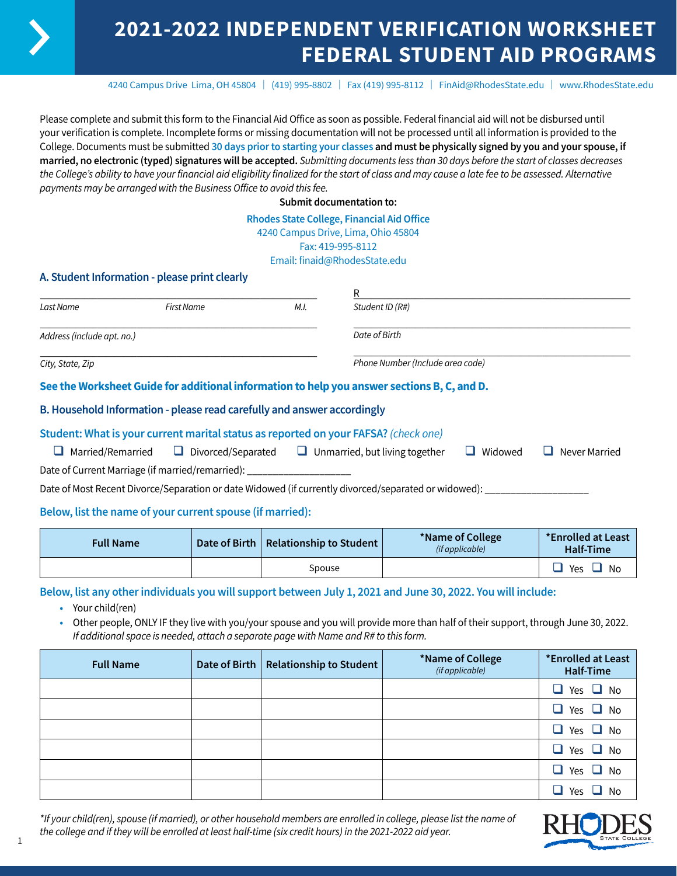# **2021-2022 INDEPENDENT VERIFICATION WORKSHEET FEDERAL STUDENT AID PROGRAMS**

4240 Campus Drive Lima, OH 45804 | (419) 995-8802 | Fax (419) 995-8112 | [FinAid@RhodesState.edu](mailto:FinAid@RhodesState.edu) | [www.RhodesState.edu](http://www.RhodesState.edu)

Please complete and submit this form to the Financial Aid Office as soon as possible. Federal financial aid will not be disbursed until your verification is complete. Incomplete forms or missing documentation will not be processed until all information is provided to the College. Documents must be submitted **30 days prior to starting your classes and must be physically signed by you and your spouse, if married, no electronic (typed) signatures will be accepted.** *Submitting documents less than 30 days before the start of classes decreases the College's ability to have your financial aid eligibility finalized for the start of class and may cause a late fee to be assessed. Alternative payments may be arranged with the Business Office to avoid this fee.*

**Submit documentation to:**

#### **Rhodes State College, Financial Aid Office**

4240 Campus Drive, Lima, Ohio 45804

Fax: 419-995-8112

Email: finaid@RhodesState.edu

### **A. Student Information - please print clearly**

|                            |            |      | R                                                                                           |  |
|----------------------------|------------|------|---------------------------------------------------------------------------------------------|--|
| Last Name                  | First Name | M.I. | Student ID (R#)                                                                             |  |
| Address (include apt. no.) |            |      | Date of Birth                                                                               |  |
| City, State, Zip           |            |      | Phone Number (Include area code)                                                            |  |
|                            |            |      | See the Worksheet Guide for additional information to help you answer sections B, C, and D. |  |

### **B. Household Information - please read carefully and answer accordingly**

### **Student: What is your current marital status as reported on your FAFSA?** *(check one)*

| $\Box$ Married/Remarried                         | $\Box$ Divorced/Separated | $\Box$ Unmarried, but living together | $\Box$ Widowed | $\Box$ Never Married |
|--------------------------------------------------|---------------------------|---------------------------------------|----------------|----------------------|
| Date of Current Marriage (if married/remarried): |                           |                                       |                |                      |

Date of Most Recent Divorce/Separation or date Widowed (if currently divorced/separated or widowed): \_

### **Below, list the name of your current spouse (if married):**

| <b>Full Name</b> | Date of Birth   Relationship to Student | *Name of College<br>(if applicable) | *Enrolled at Least<br>Half-Time |
|------------------|-----------------------------------------|-------------------------------------|---------------------------------|
|                  | Spouse                                  |                                     | Yes<br>No                       |

**Below, list any other individuals you will support between July 1, 2021 and June 30, 2022. You will include:**

- **•** Your child(ren)
- **•** Other people, ONLY IF they live with you/your spouse and you will provide more than half of their support, through June 30, 2022. *If additional space is needed, attach a separate page with Name and R# to this form.*

| <b>Full Name</b> | Date of Birth   Relationship to Student | *Name of College<br>(if applicable) | *Enrolled at Least<br>Half-Time |
|------------------|-----------------------------------------|-------------------------------------|---------------------------------|
|                  |                                         |                                     | Yes $\Box$ No<br>$\Box$         |
|                  |                                         |                                     | Yes $\Box$ No<br>$\Box$         |
|                  |                                         |                                     | $\Box$ Yes $\Box$ No            |
|                  |                                         |                                     | $\Box$ Yes $\Box$ No            |
|                  |                                         |                                     | $\Box$ Yes $\Box$ No            |
|                  |                                         |                                     | П<br>Yes<br>No                  |

*\*If your child(ren), spouse (if married), or other household members are enrolled in college, please list the name of the college and if they will be enrolled at least half-time (six credit hours) in the 2021-2022 aid year.*



1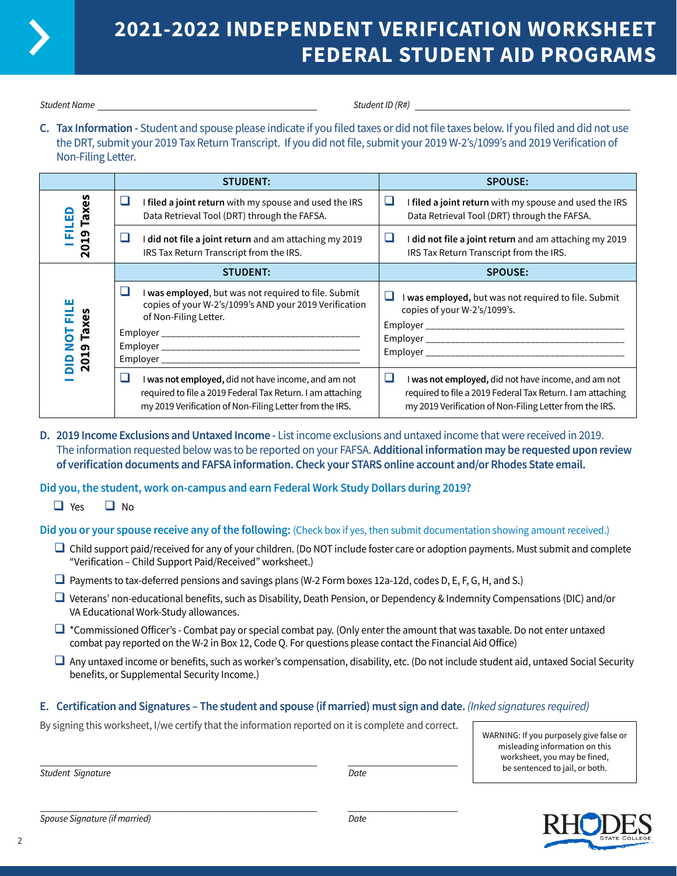

# **2021-2022 INDEPENDENT VERIFICATION WORKSHEET FEDERAL STUDENT AID PROGRAMS**

*Student Name* \_\_\_\_\_\_\_\_\_\_\_\_\_\_\_\_\_\_\_\_\_\_\_\_\_\_\_\_\_\_\_\_\_\_\_\_\_\_\_\_\_\_\_\_\_\_\_\_\_\_ *Student ID (R#)* \_\_\_\_\_\_\_\_\_\_\_\_\_\_\_\_\_\_\_\_\_\_\_\_\_\_\_\_\_\_\_\_\_\_\_\_\_\_\_\_\_\_\_\_\_\_\_\_\_

**C. Tax Information -** Student and spouse please indicate if you filed taxes or did not file taxes below. If you filed and did not use the DRT, submit your 2019 Tax Return Transcript. If you did not file, submit your 2019 W-2's/1099's and 2019 Verification of Non-Filing Letter.

|                               | <b>STUDENT:</b>                                                                                                                                                                   | <b>SPOUSE:</b>                                                                                                                                                                    |
|-------------------------------|-----------------------------------------------------------------------------------------------------------------------------------------------------------------------------------|-----------------------------------------------------------------------------------------------------------------------------------------------------------------------------------|
| Taxe:<br>ш                    | I filed a joint return with my spouse and used the IRS<br>ப<br>Data Retrieval Tool (DRT) through the FAFSA.                                                                       | ⊔<br>I filed a joint return with my spouse and used the IRS<br>Data Retrieval Tool (DRT) through the FAFSA.                                                                       |
| თ,<br>π                       | did not file a joint return and am attaching my 2019<br>IRS Tax Return Transcript from the IRS.                                                                                   | ш<br>I did not file a joint return and am attaching my 2019<br>IRS Tax Return Transcript from the IRS.                                                                            |
|                               | <b>STUDENT:</b>                                                                                                                                                                   | <b>SPOUSE:</b>                                                                                                                                                                    |
| ш<br>NOT FIL<br>Taxes<br>2019 | I was employed, but was not required to file. Submit<br>copies of your W-2's/1099's AND your 2019 Verification<br>of Non-Filing Letter.<br>Employer                               | ப<br>I was employed, but was not required to file. Submit<br>copies of your W-2's/1099's.<br>Employer                                                                             |
|                               | ∟<br>I was not employed, did not have income, and am not<br>required to file a 2019 Federal Tax Return. I am attaching<br>my 2019 Verification of Non-Filing Letter from the IRS. | □<br>I was not employed, did not have income, and am not<br>required to file a 2019 Federal Tax Return. I am attaching<br>my 2019 Verification of Non-Filing Letter from the IRS. |

**D. 2019 Income Exclusions and Untaxed Income -** List income exclusions and untaxed income that were received in 2019. The information requested below was to be reported on your FAFSA. **Additional information may be requested upon review of verification documents and FAFSA information. Check your STARS online account and/or Rhodes State email.**

**Did you, the student, work on-campus and earn Federal Work Study Dollars during 2019?**

 $\Box$  Yes  $\Box$  No

**Did you or your spouse receive any of the following:** (Check box if yes, then submit documentation showing amount received.)

- $\Box$  Child support paid/received for any of your children. (Do NOT include foster care or adoption payments. Must submit and complete "Verification – Child Support Paid/Received" worksheet.)
- $\Box$  Payments to tax-deferred pensions and savings plans (W-2 Form boxes 12a-12d, codes D, E, F, G, H, and S.)
- $\Box$  Veterans' non-educational benefits, such as Disability, Death Pension, or Dependency & Indemnity Compensations (DIC) and/or VA Educational Work-Study allowances.
- $\Box$  \*Commissioned Officer's Combat pay or special combat pay. (Only enter the amount that was taxable. Do not enter untaxed combat pay reported on the W-2 in Box 12, Code Q. For questions please contact the Financial Aid Office)
- $\Box$  Any untaxed income or benefits, such as worker's compensation, disability, etc. (Do not include student aid, untaxed Social Security benefits, or Supplemental Security Income.)

## **E. Certification and Signatures – The student and spouse (if married) must sign and date.** *(Inked signatures required)*

By signing this worksheet, I/we certify that the information reported on it is complete and correct.

WARNING: If you purposely give false or misleading information on this worksheet, you may be fined, be sentenced to jail, or both.

\_\_\_\_\_\_\_\_\_\_\_\_\_\_\_\_\_\_\_\_\_\_\_\_\_\_\_\_\_\_\_\_\_\_\_\_\_\_\_\_\_\_\_\_\_\_\_\_\_\_\_\_\_\_\_\_\_\_\_\_\_\_\_ \_\_\_\_\_\_\_\_\_\_\_\_\_\_\_\_\_\_\_\_\_\_\_\_\_ *Student Signature Date*

\_\_\_\_\_\_\_\_\_\_\_\_\_\_\_\_\_\_\_\_\_\_\_\_\_\_\_\_\_\_\_\_\_\_\_\_\_\_\_\_\_\_\_\_\_\_\_\_\_\_\_\_\_\_\_\_\_\_\_\_\_\_\_ \_\_\_\_\_\_\_\_\_\_\_\_\_\_\_\_\_\_\_\_\_\_\_\_\_ *Spouse Signature (if married) Date*

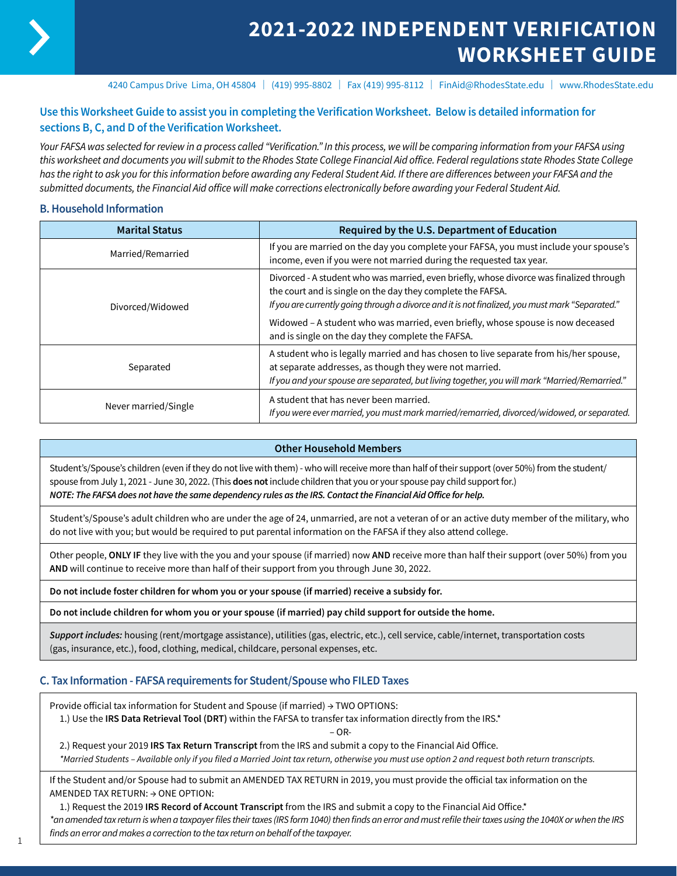

# **2021-2022 INDEPENDENT VERIFICATION WORKSHEET GUIDE**

4240 Campus Drive Lima, OH 45804 | (419) 995-8802 | Fax (419) 995-8112 | FinAid@RhodesState.edu | www.RhodesState.edu

### **Use this Worksheet Guide to assist you in completing the Verification Worksheet. Below is detailed information for sections B, C, and D of the Verification Worksheet.**

*Your FAFSA was selected for review in a process called "Verification." In this process, we will be comparing information from your FAFSA using this worksheet and documents you will submit to the Rhodes State College Financial Aid office. Federal regulations state Rhodes State College has the right to ask you for this information before awarding any Federal Student Aid. If there are differences between your FAFSA and the submitted documents, the Financial Aid office will make corrections electronically before awarding your Federal Student Aid.*

### **B. Household Information**

| <b>Marital Status</b> | Required by the U.S. Department of Education                                                                                                                                                                                                                                                                                                  |
|-----------------------|-----------------------------------------------------------------------------------------------------------------------------------------------------------------------------------------------------------------------------------------------------------------------------------------------------------------------------------------------|
| Married/Remarried     | If you are married on the day you complete your FAFSA, you must include your spouse's<br>income, even if you were not married during the requested tax year.                                                                                                                                                                                  |
| Divorced/Widowed      | Divorced - A student who was married, even briefly, whose divorce was finalized through<br>the court and is single on the day they complete the FAFSA.<br>If you are currently going through a divorce and it is not finalized, you must mark "Separated."<br>Widowed - A student who was married, even briefly, whose spouse is now deceased |
|                       | and is single on the day they complete the FAFSA.                                                                                                                                                                                                                                                                                             |
| Separated             | A student who is legally married and has chosen to live separate from his/her spouse,<br>at separate addresses, as though they were not married.<br>If you and your spouse are separated, but living together, you will mark "Married/Remarried."                                                                                             |
| Never married/Single  | A student that has never been married.<br>If you were ever married, you must mark married/remarried, divorced/widowed, or separated.                                                                                                                                                                                                          |

### **Other Household Members**

Student's/Spouse's children (even if they do not live with them) - who will receive more than half of their support (over 50%) from the student/ spouse from July 1, 2021 - June 30, 2022. (This **does not** include children that you or your spouse pay child support for.) *NOTE: The FAFSA does not have the same dependency rules as the IRS. Contact the Financial Aid Office for help.*

Student's/Spouse's adult children who are under the age of 24, unmarried, are not a veteran of or an active duty member of the military, who do not live with you; but would be required to put parental information on the FAFSA if they also attend college.

Other people, **ONLY IF** they live with the you and your spouse (if married) now **AND** receive more than half their support (over 50%) from you **AND** will continue to receive more than half of their support from you through June 30, 2022.

**Do not include foster children for whom you or your spouse (if married) receive a subsidy for.**

**Do not include children for whom you or your spouse (if married) pay child support for outside the home.**

*Support includes:* housing (rent/mortgage assistance), utilities (gas, electric, etc.), cell service, cable/internet, transportation costs (gas, insurance, etc.), food, clothing, medical, childcare, personal expenses, etc.

### **C. Tax Information - FAFSA requirements for Student/Spouse who FILED Taxes**

Provide official tax information for Student and Spouse (if married) → TWO OPTIONS:

1.) Use the **IRS Data Retrieval Tool (DRT)** within the FAFSA to transfer tax information directly from the IRS.\*

– OR-

2.) Request your 2019 **IRS Tax Return Transcript** from the IRS and submit a copy to the Financial Aid Office.

*\*Married Students – Available only if you filed a Married Joint tax return, otherwise you must use option 2 and request both return transcripts.* 

If the Student and/or Spouse had to submit an AMENDED TAX RETURN in 2019, you must provide the official tax information on the AMENDED TAX RETURN: → ONE OPTION:

1.) Request the 2019 **IRS Record of Account Transcript** from the IRS and submit a copy to the Financial Aid Office.\*

*\*an amended tax return is when a taxpayer files their taxes (IRS form 1040) then finds an error and must refile their taxes using the 1040X or when the IRS finds an error and makes a correction to the tax return on behalf of the taxpayer.* <sup>1</sup>